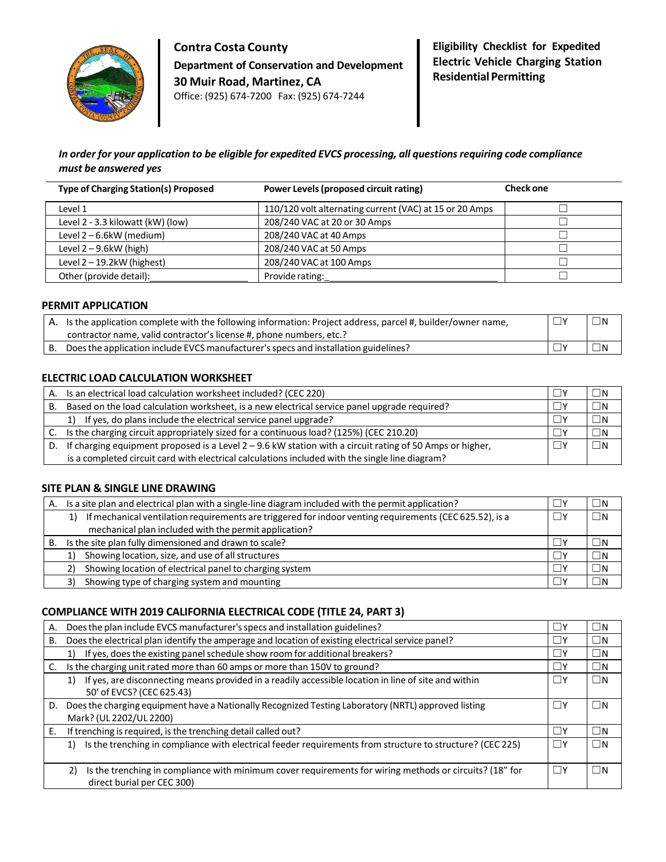

**Contra Costa County Department of Conservation and Development 30 Muir Road, Martinez, CA** Office: (925) 674-7200 Fax: (925) 674-7244

**Eligibility Checklist for Expedited Electric Vehicle Charging Station Residential Permitting** 

# *In order for your application to be eligible for expedited EVCS processing, all questionsrequiring code compliance must be answered yes*

| <b>Type of Charging Station(s) Proposed</b> | Power Levels (proposed circuit rating)                  | <b>Check one</b> |
|---------------------------------------------|---------------------------------------------------------|------------------|
| Level 1                                     | 110/120 volt alternating current (VAC) at 15 or 20 Amps |                  |
| Level 2 - 3.3 kilowatt (kW) (low)           | 208/240 VAC at 20 or 30 Amps                            |                  |
| Level 2-6.6kW (medium)                      | 208/240 VAC at 40 Amps                                  |                  |
| Level $2 - 9.6$ kW (high)                   | 208/240 VAC at 50 Amps                                  |                  |
| Level $2 - 19.2$ kW (highest)               | 208/240 VAC at 100 Amps                                 |                  |
| Other (provide detail):                     | Provide rating:                                         |                  |

## **PERMIT APPLICATION**

|    | A. Is the application complete with the following information: Project address, parcel #, builder/owner name, | $\sqcup$ N |
|----|---------------------------------------------------------------------------------------------------------------|------------|
|    | contractor name, valid contractor's license #, phone numbers, etc.?                                           |            |
| В. | Does the application include EVCS manufacturer's specs and installation guidelines?                           |            |

## **ELECTRIC LOAD CALCULATION WORKSHEET**

| А. | Is an electrical load calculation worksheet included? (CEC 220)                                            |   | ⊐N          |
|----|------------------------------------------------------------------------------------------------------------|---|-------------|
| В. | Based on the load calculation worksheet, is a new electrical service panel upgrade required?               |   | $\square$ N |
|    | 1) If yes, do plans include the electrical service panel upgrade?                                          |   | $\square$ N |
|    | C. Is the charging circuit appropriately sized for a continuous load? (125%) (CEC 210.20)                  |   | $\square$ N |
| D. | If charging equipment proposed is a Level $2 - 9.6$ kW station with a circuit rating of 50 Amps or higher, | 口 | $\square$ N |
|    | is a completed circuit card with electrical calculations included with the single line diagram?            |   |             |

## **SITE PLAN & SINGLE LINE DRAWING**

| Α. | Is a site plan and electrical plan with a single-line diagram included with the permit application?                                                              | ∃N          |
|----|------------------------------------------------------------------------------------------------------------------------------------------------------------------|-------------|
|    | If mechanical ventilation requirements are triggered for indoor venting requirements (CEC 625.52), is a<br>mechanical plan included with the permit application? | $\square$ N |
| В. | Is the site plan fully dimensioned and drawn to scale?                                                                                                           | $\Box$ N    |
|    | Showing location, size, and use of all structures                                                                                                                | $\square$ N |
|    | Showing location of electrical panel to charging system<br>2)                                                                                                    | $\Box$ n    |
|    | Showing type of charging system and mounting<br>3)                                                                                                               | $\Box$ N    |

## **COMPLIANCE WITH 2019 CALIFORNIA ELECTRICAL CODE (TITLE 24, PART 3)**

| Α. | Does the plan include EVCS manufacturer's specs and installation guidelines?                                                                |          | $\Box$ N    |
|----|---------------------------------------------------------------------------------------------------------------------------------------------|----------|-------------|
| В. | Does the electrical plan identify the amperage and location of existing electrical service panel?                                           | $\Box$ y | $\Box$ N    |
|    | If yes, does the existing panel schedule show room for additional breakers?<br>1)                                                           | $\Box$ y | $\Box$ N    |
| C. | Is the charging unit rated more than 60 amps or more than 150V to ground?                                                                   | $\Box$ y | $\square$ N |
|    | If yes, are disconnecting means provided in a readily accessible location in line of site and within<br>1)<br>50' of EVCS? (CEC 625.43)     | $\Box$ y | $\square$ N |
| D. | Does the charging equipment have a Nationally Recognized Testing Laboratory (NRTL) approved listing<br>Mark? (UL 2202/UL 2200)              | ∐∖       | $\Box$ N    |
| Е. | If trenching is required, is the trenching detail called out?                                                                               | Πγ       | $\Box$ n    |
|    | Is the trenching in compliance with electrical feeder requirements from structure to structure? (CEC 225)<br>1)                             | $\Box$ y | $\square$ N |
|    | Is the trenching in compliance with minimum cover requirements for wiring methods or circuits? (18" for<br>2)<br>direct burial per CEC 300) | П۲       | ΠN          |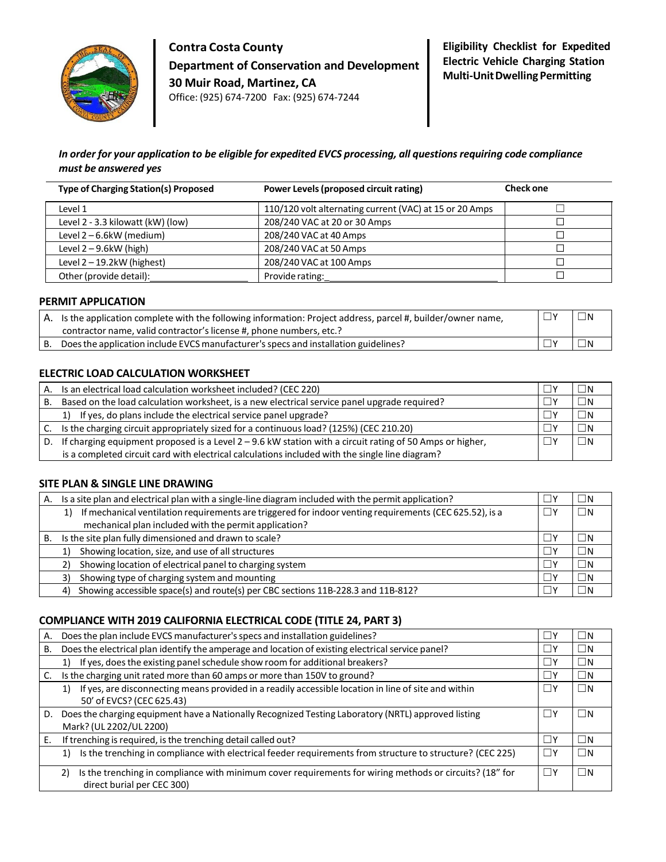

**Contra Costa County Department of Conservation and Development 30 Muir Road, Martinez, CA** Office: (925) 674-7200 Fax: (925) 674-7244

# *In order for your application to be eligible for expedited EVCS processing, all questionsrequiring code compliance must be answered yes*

| <b>Type of Charging Station(s) Proposed</b> | Power Levels (proposed circuit rating)                  | <b>Check one</b> |
|---------------------------------------------|---------------------------------------------------------|------------------|
| Level 1                                     | 110/120 volt alternating current (VAC) at 15 or 20 Amps |                  |
| Level 2 - 3.3 kilowatt (kW) (low)           | 208/240 VAC at 20 or 30 Amps                            |                  |
| Level 2-6.6kW (medium)                      | 208/240 VAC at 40 Amps                                  |                  |
| Level $2 - 9.6$ kW (high)                   | 208/240 VAC at 50 Amps                                  |                  |
| Level 2-19.2kW (highest)                    | 208/240 VAC at 100 Amps                                 |                  |
| Other (provide detail):                     | Provide rating:                                         |                  |

#### **PERMIT APPLICATION**

| A. Is the application complete with the following information: Project address, parcel #, builder/owner name, | $\sqcup$ N |
|---------------------------------------------------------------------------------------------------------------|------------|
| contractor name, valid contractor's license #, phone numbers, etc.?                                           |            |
| Does the application include EVCS manufacturer's specs and installation guidelines?                           |            |

## **ELECTRIC LOAD CALCULATION WORKSHEET**

| А. | Is an electrical load calculation worksheet included? (CEC 220)                                            | П٧ | ΙN   |
|----|------------------------------------------------------------------------------------------------------------|----|------|
| В. | Based on the load calculation worksheet, is a new electrical service panel upgrade required?               |    | 1N   |
|    | 1) If yes, do plans include the electrical service panel upgrade?                                          |    | - IN |
| C. | Is the charging circuit appropriately sized for a continuous load? (125%) (CEC 210.20)                     |    | 1N   |
| D. | If charging equipment proposed is a Level $2 - 9.6$ kW station with a circuit rating of 50 Amps or higher, |    | -IN  |
|    | is a completed circuit card with electrical calculations included with the single line diagram?            |    |      |

#### **SITE PLAN & SINGLE LINE DRAWING**

| А. | Is a site plan and electrical plan with a single-line diagram included with the permit application?           |          | _IN      |
|----|---------------------------------------------------------------------------------------------------------------|----------|----------|
|    | If mechanical ventilation requirements are triggered for indoor venting requirements (CEC 625.52), is a<br>1) |          | $\Box$ N |
|    | mechanical plan included with the permit application?                                                         |          |          |
| В. | Is the site plan fully dimensioned and drawn to scale?                                                        |          | - IN     |
|    | Showing location, size, and use of all structures                                                             | $\Box$ y | $\Box$ n |
|    | Showing location of electrical panel to charging system<br>2                                                  | $\Box$ y | I IN     |
|    | Showing type of charging system and mounting<br>3)                                                            |          | I IN     |
|    | Showing accessible space(s) and route(s) per CBC sections 11B-228.3 and 11B-812?<br>4)                        |          |          |

## **COMPLIANCE WITH 2019 CALIFORNIA ELECTRICAL CODE (TITLE 24, PART 3)**

| А. | Does the plan include EVCS manufacturer's specs and installation guidelines?                                    |      | $\Box$ N |
|----|-----------------------------------------------------------------------------------------------------------------|------|----------|
| В. | Does the electrical plan identify the amperage and location of existing electrical service panel?               |      | $\Box$ N |
|    | If yes, does the existing panel schedule show room for additional breakers?<br>1)                               |      | $\Box$ N |
| C. | Is the charging unit rated more than 60 amps or more than 150V to ground?                                       |      | $\Box$ N |
|    | If yes, are disconnecting means provided in a readily accessible location in line of site and within<br>1)      |      | $\Box$ N |
|    | 50' of EVCS? (CEC 625.43)                                                                                       |      |          |
| D. | Does the charging equipment have a Nationally Recognized Testing Laboratory (NRTL) approved listing             |      | -IN      |
|    | Mark? (UL 2202/UL 2200)                                                                                         |      |          |
| Е. | If trenching is required, is the trenching detail called out?                                                   |      | - IN     |
|    | Is the trenching in compliance with electrical feeder requirements from structure to structure? (CEC 225)<br>1) | 1 IY | $\Box N$ |
|    | Is the trenching in compliance with minimum cover requirements for wiring methods or circuits? (18" for<br>2)   |      | $\Box N$ |
|    | direct burial per CEC 300)                                                                                      |      |          |